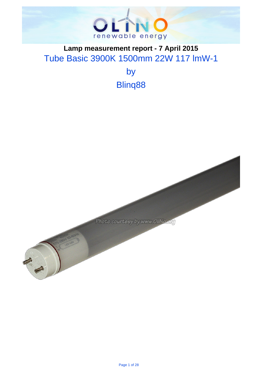

## . **Lamp measurement report - 7 April 2015** Tube Basic 3900K 1500mm 22W 117 lmW-1

by Blinq88

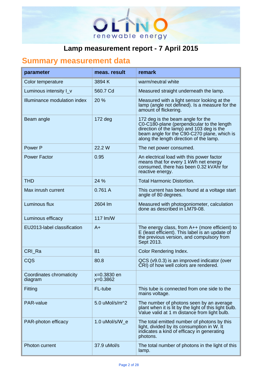

# . **Summary measurement data**

| parameter                           | meas, result              | remark                                                                                                                                                                                                                 |
|-------------------------------------|---------------------------|------------------------------------------------------------------------------------------------------------------------------------------------------------------------------------------------------------------------|
| Color temperature                   | 3894 K                    | warm/neutral white                                                                                                                                                                                                     |
| Luminous intensity I_v              | 560.7 Cd                  | Measured straight underneath the lamp.                                                                                                                                                                                 |
| Illuminance modulation index        | 20 %                      | Measured with a light sensor looking at the<br>lamp (angle not defined). Is a measure for the<br>amount of flickering.                                                                                                 |
| Beam angle                          | $172$ deg                 | 172 deg is the beam angle for the<br>C0-C180-plane (perpendicular to the length<br>direction of the lamp) and 103 deg is the<br>beam angle for the C90-C270 plane, which is<br>along the length direction of the lamp. |
| Power P                             | 22.2 W                    | The net power consumed.                                                                                                                                                                                                |
| <b>Power Factor</b>                 | 0.95                      | An electrical load with this power factor<br>means that for every 1 kWh net energy<br>consumed, there has been 0.32 kVAhr for<br>reactive energy.                                                                      |
| <b>THD</b>                          | 24 %                      | <b>Total Harmonic Distortion.</b>                                                                                                                                                                                      |
| Max inrush current                  | 0.761A                    | This current has been found at a voltage start<br>angle of 80 degrees.                                                                                                                                                 |
| Luminous flux                       | 2604 lm                   | Measured with photogoniometer, calculation<br>done as described in LM79-08.                                                                                                                                            |
| Luminous efficacy                   | 117 lm/W                  |                                                                                                                                                                                                                        |
| EU2013-label classification         | $A+$                      | The energy class, from $A++$ (more efficient) to<br>E (least efficient). This label is an update of<br>the previous version, and compulsory from<br>Sept 2013.                                                         |
| CRI_Ra                              | 81                        | Color Rendering Index.                                                                                                                                                                                                 |
| CQS                                 | 80.8                      | QCS (v9.0.3) is an improved indicator (over<br>CRI) of how well colors are rendered.                                                                                                                                   |
| Coordinates chromaticity<br>diagram | x=0.3830 en<br>$y=0.3862$ |                                                                                                                                                                                                                        |
| Fitting                             | FL-tube                   | This tube is connected from one side to the<br>mains voltage.                                                                                                                                                          |
| PAR-value                           | 5.0 uMol/s/m^2            | The number of photons seen by an average<br>plant when it is lit by the light of this light bulb.<br>Value valid at 1 m distance from light bulb.                                                                      |
| PAR-photon efficacy                 | 1.0 uMol/s/W_e            | The total emitted number of photons by this<br>light, divided by its consumption in W. It<br>indicates a kind of efficacy in generating<br>photons.                                                                    |
| <b>Photon current</b>               | 37.9 uMol/s               | The total number of photons in the light of this<br>lamp.                                                                                                                                                              |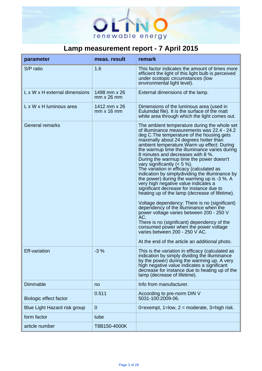

| parameter                     | meas. result                      | remark                                                                                                                                                                                                                                                                                                                                                                                                                                                                                                                                                                                                                                                                                                                                                                                                                                                                                                                                                                                                               |
|-------------------------------|-----------------------------------|----------------------------------------------------------------------------------------------------------------------------------------------------------------------------------------------------------------------------------------------------------------------------------------------------------------------------------------------------------------------------------------------------------------------------------------------------------------------------------------------------------------------------------------------------------------------------------------------------------------------------------------------------------------------------------------------------------------------------------------------------------------------------------------------------------------------------------------------------------------------------------------------------------------------------------------------------------------------------------------------------------------------|
| S/P ratio                     | 1.6                               | This factor indicates the amount of times more<br>efficient the light of this light bulb is perceived<br>under scotopic circumstances (low<br>environmental light level).                                                                                                                                                                                                                                                                                                                                                                                                                                                                                                                                                                                                                                                                                                                                                                                                                                            |
| L x W x H external dimensions | 1498 mm x 26<br>$mm \times 26$ mm | External dimensions of the lamp.                                                                                                                                                                                                                                                                                                                                                                                                                                                                                                                                                                                                                                                                                                                                                                                                                                                                                                                                                                                     |
| L x W x H luminous area       | 1412 mm x 26<br>$mm \times 16$ mm | Dimensions of the luminous area (used in<br>Eulumdat file). It is the surface of the matt<br>white area through which the light comes out.                                                                                                                                                                                                                                                                                                                                                                                                                                                                                                                                                                                                                                                                                                                                                                                                                                                                           |
| <b>General remarks</b>        |                                   | The ambient temperature during the whole set<br>of illuminance measurements was 22.4 - 24.2<br>deg C. The temperature of the housing gets<br>maximally about 24 degrees hotter than<br>ambient temperature. Warm up effect: During<br>the warmup time the illuminance varies during<br>8 minutes and decreases with 8 %.<br>During the warmup time the power doesn't<br>vary significantly $(< 5 %)$ .<br>The variation in efficacy (calculated as<br>indication by simplydividing the illuminance by<br>the power) during the warming up is -3 %. A<br>very high negative value indicates a<br>significant decrease for instance due to<br>heating up of the lamp (decrease of lifetime).<br>Voltage dependency: There is no (significant)<br>dependency of the illuminance when the<br>power voltage varies between 200 - 250 V<br>AC.<br>There is no (significant) dependency of the<br>consumed power when the power voltage<br>varies between 200 - 250 V AC.<br>At the end of the article an additional photo. |
| <b>Eff-variation</b>          | $-3%$                             | This is the variation in efficacy (calculated as<br>indication by simply dividing the illuminance<br>by the power) during the warming up. A very<br>high negative value indicates a significant<br>decrease for instance due to heating up of the<br>lamp (decrease of lifetime).                                                                                                                                                                                                                                                                                                                                                                                                                                                                                                                                                                                                                                                                                                                                    |
| <b>Dimmable</b>               | no                                | Info from manufacturer.                                                                                                                                                                                                                                                                                                                                                                                                                                                                                                                                                                                                                                                                                                                                                                                                                                                                                                                                                                                              |
| Biologic effect factor        | 0.511                             | According to pre-norm DIN V<br>5031-100:2009-06.                                                                                                                                                                                                                                                                                                                                                                                                                                                                                                                                                                                                                                                                                                                                                                                                                                                                                                                                                                     |
| Blue Light Hazard risk group  | $\overline{0}$                    | 0=exempt, $1=low$ , $2=moderate$ , $3=high risk$ .                                                                                                                                                                                                                                                                                                                                                                                                                                                                                                                                                                                                                                                                                                                                                                                                                                                                                                                                                                   |
| form factor                   | tube                              |                                                                                                                                                                                                                                                                                                                                                                                                                                                                                                                                                                                                                                                                                                                                                                                                                                                                                                                                                                                                                      |
| article number                | T8B150-4000K                      |                                                                                                                                                                                                                                                                                                                                                                                                                                                                                                                                                                                                                                                                                                                                                                                                                                                                                                                                                                                                                      |

.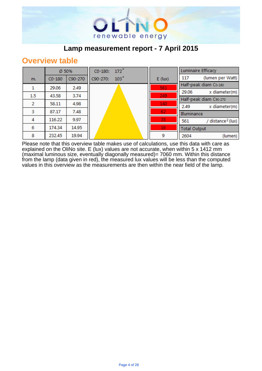

## **Overview table**

|     | Ø 50%    |         | $172^\circ$<br>CO-180:       |                 | <b>Luminaire Efficacy</b> |                               |
|-----|----------|---------|------------------------------|-----------------|---------------------------|-------------------------------|
| m.  | $CO-180$ | C90-270 | 103 <sup>°</sup><br>C90-270: | $E$ (lux)       | 117                       | (lumen per Watt)              |
|     | 29.06    | 2.49    |                              | 561             |                           | Half-peak diam Co-180         |
|     |          |         |                              |                 | 29.06                     | x diameter(m)                 |
| 1.5 | 43.58    | 3.74    |                              | 249             |                           | Half-peak diam C90-270        |
| 2   | 58.11    | 4.98    |                              | 140             | 2.49                      | x diameter(m)                 |
| з   | 87.17    | 7.48    |                              | 62              | Illuminance               |                               |
| 4   | 116.22   | 9.97    |                              | 35              | 561                       | / distance <sup>2</sup> (lux) |
| 6   | 174.34   | 14.95   |                              | 16 <sub>1</sub> | <b>Total Output</b>       |                               |
| 8   | 232.45   | 19.94   |                              | 9               | 2604                      | (lumen)                       |

Please note that this overview table makes use of calculations, use this data with care as explained on the OliNo site. E (lux) values are not accurate, when within 5 x 1412 mm (maximal luminous size, eventually diagonally measured)= 7060 mm. Within this distance from the lamp (data given in red), the measured lux values will be less than the computed values in this overview as the measurements are then within the near field of the lamp.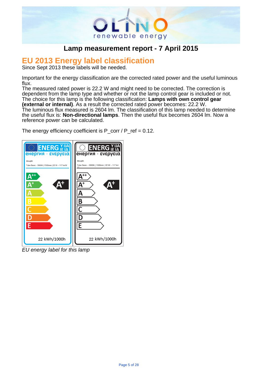

# . **EU 2013 Energy label classification**

Since Sept 2013 these labels will be needed.

Important for the energy classification are the corrected rated power and the useful luminous flux.

The measured rated power is 22.2 W and might need to be corrected. The correction is dependent from the lamp type and whether or not the lamp control gear is included or not. The choice for this lamp is the following classification: **Lamps with own control gear (external or internal)**. As a result the corrected rated power becomes: 22.2 W. The luminous flux measured is 2604 lm. The classification of this lamp needed to determine the useful flux is: **Non-directional lamps**. Then the useful flux becomes 2604 lm. Now a reference power can be calculated.

The energy efficiency coefficient is  $P_{corr}$  /  $P_{ref}$  = 0.12.



EU energy label for this lamp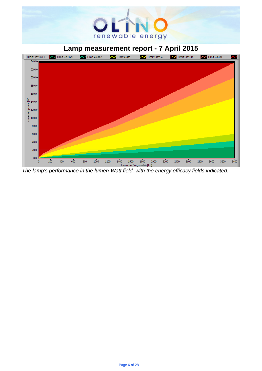# renewable energy

## . **Lamp measurement report - 7 April 2015**



The lamp's performance in the lumen-Watt field, with the energy efficacy fields indicated.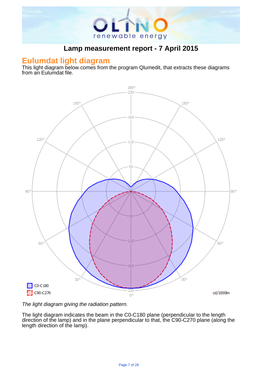

#### **Eulumdat light diagram**

This light diagram below comes from the program Qlumedit, that extracts these diagrams from an Eulumdat file.



The light diagram giving the radiation pattern.

The light diagram indicates the beam in the C0-C180 plane (perpendicular to the length direction of the lamp) and in the plane perpendicular to that, the C90-C270 plane (along the length direction of the lamp).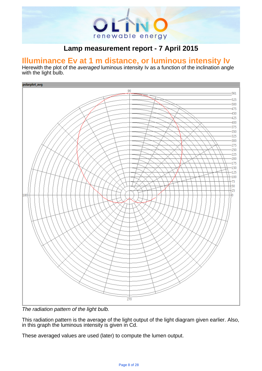

# . **Illuminance Ev at 1 m distance, or luminous intensity Iv**

Herewith the plot of the averaged luminous intensity Iv as a function of the inclination angle with the light bulb.



The radiation pattern of the light bulb.

This radiation pattern is the average of the light output of the light diagram given earlier. Also, in this graph the luminous intensity is given in Cd.

These averaged values are used (later) to compute the lumen output.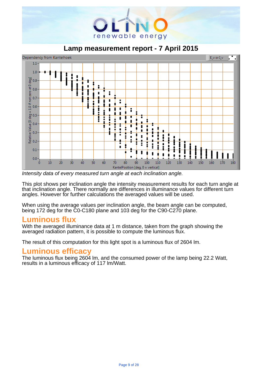

. **Lamp measurement report - 7 April 2015**



Intensity data of every measured turn angle at each inclination angle.

This plot shows per inclination angle the intensity measurement results for each turn angle at that inclination angle. There normally are differences in illuminance values for different turn angles. However for further calculations the averaged values will be used.

When using the average values per inclination angle, the beam angle can be computed, being 172 deg for the C0-C180 plane and 103 deg for the C90-C270 plane.

## **Luminous flux**

With the averaged illuminance data at 1 m distance, taken from the graph showing the averaged radiation pattern, it is possible to compute the luminous flux.

The result of this computation for this light spot is a luminous flux of 2604 lm.

## **Luminous efficacy**

The luminous flux being 2604 lm, and the consumed power of the lamp being 22.2 Watt, results in a luminous efficacy of 117 lm/Watt.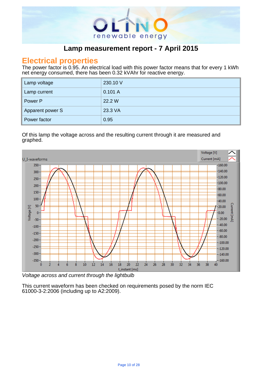

#### **Electrical properties**

The power factor is 0.95. An electrical load with this power factor means that for every 1 kWh net energy consumed, there has been 0.32 kVAhr for reactive energy.

| Lamp voltage     | 230.10 V |
|------------------|----------|
| Lamp current     | 0.101A   |
| Power P          | 22.2 W   |
| Apparent power S | 23.3 VA  |
| Power factor     | 0.95     |

.

#### Of this lamp the voltage across and the resulting current through it are measured and graphed. .



Voltage across and current through the lightbulb

This current waveform has been checked on requirements posed by the norm IEC 61000-3-2:2006 (including up to A2:2009).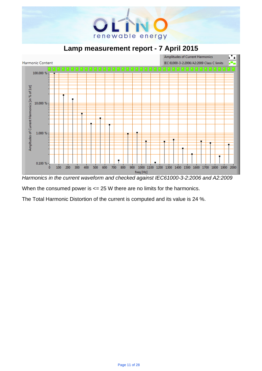

. **Lamp measurement report - 7 April 2015**



Harmonics in the current waveform and checked against IEC61000-3-2:2006 and A2:2009

When the consumed power is  $\leq$  25 W there are no limits for the harmonics.

The Total Harmonic Distortion of the current is computed and its value is 24 %.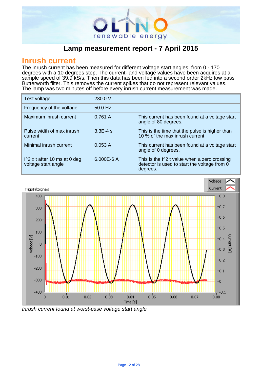

#### **Inrush current**

The inrush current has been measured for different voltage start angles; from 0 - 170 degrees with a 10 degrees step. The current- and voltage values have been acquires at a sample speed of 39.9 kS/s. Then this data has been fed into a second order 2kHz low pass Butterworth filter. This removes the current spikes that do not represent relevant values. The lamp was two minutes off before every inrush current measurement was made.

| Test voltage                                                  | 230.0 V     |                                                                                                                    |
|---------------------------------------------------------------|-------------|--------------------------------------------------------------------------------------------------------------------|
| Frequency of the voltage                                      | $50.0$ Hz   |                                                                                                                    |
| Maximum inrush current                                        | 0.761A      | This current has been found at a voltage start<br>angle of 80 degrees.                                             |
| Pulse width of max inrush<br>current                          | $3.3E - 4s$ | This is the time that the pulse is higher than<br>10 % of the max inrush current.                                  |
| Minimal inrush current                                        | 0.053A      | This current has been found at a voltage start<br>angle of 0 degrees.                                              |
| $\frac{1}{2}$ x t after 10 ms at 0 deg<br>voltage start angle | 6.000E-6 A  | This is the $\frac{1}{2}$ t value when a zero crossing<br>detector is used to start the voltage from 0<br>degrees. |

.



Inrush current found at worst-case voltage start angle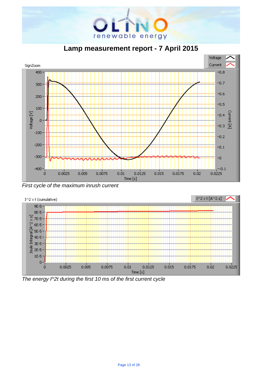

. **Lamp measurement report - 7 April 2015**



First cycle of the maximum inrush current



The energy I^2t during the first 10 ms of the first current cycle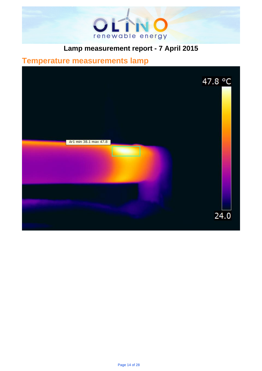

# . **Temperature measurements lamp**

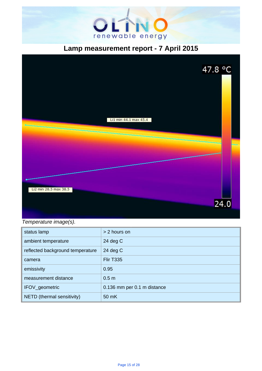



Temperature image(s).

| status lamp                      | > 2 hours on                |
|----------------------------------|-----------------------------|
| ambient temperature              | 24 $deg C$                  |
| reflected background temperature | 24 $deg C$                  |
| camera                           | <b>Flir T335</b>            |
| emissivity                       | 0.95                        |
| measurement distance             | 0.5 <sub>m</sub>            |
| IFOV_geometric                   | 0.136 mm per 0.1 m distance |
| NETD (thermal sensitivity)       | 50 mK                       |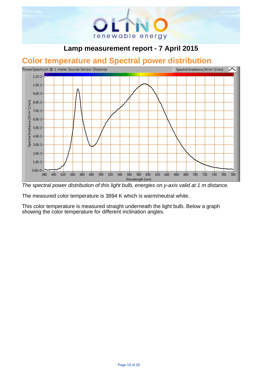

# . **Color temperature and Spectral power distribution**



The spectral power distribution of this light bulb, energies on y-axis valid at 1 m distance.

The measured color temperature is 3894 K which is warm/neutral white.

This color temperature is measured straight underneath the light bulb. Below a graph showing the color temperature for different inclination angles.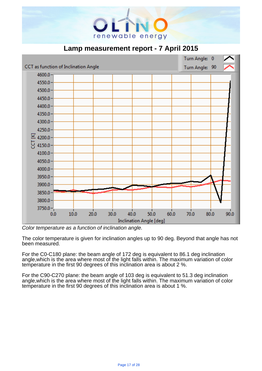





Color temperature as a function of inclination angle.

The color temperature is given for inclination angles up to 90 deg. Beyond that angle has not been measured.

For the C0-C180 plane: the beam angle of 172 deg is equivalent to 86.1 deg inclination angle,which is the area where most of the light falls within. The maximum variation of color temperature in the first 90 degrees of this inclination area is about 2 %.

For the C90-C270 plane: the beam angle of 103 deg is equivalent to 51.3 deg inclination angle,which is the area where most of the light falls within. The maximum variation of color temperature in the first 90 degrees of this inclination area is about 1 %.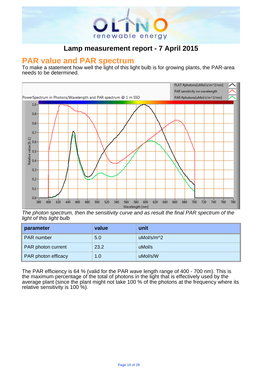

# . **PAR value and PAR spectrum**

To make a statement how well the light of this light bulb is for growing plants, the PAR-area needs to be determined.



The photon spectrum, then the sensitivity curve and as result the final PAR spectrum of the light of this light bulb

| parameter           | value | unit       |
|---------------------|-------|------------|
| <b>PAR</b> number   | 5.0   | uMol/s/m^2 |
| PAR photon current  | 23.2  | uMol/s     |
| PAR photon efficacy | 1.0   | uMol/s/W   |

The PAR efficiency is 64 % (valid for the PAR wave length range of 400 - 700 nm). This is the maximum percentage of the total of photons in the light that is effectively used by the average plant (since the plant might not take 100 % of the photons at the frequency where its relative sensitivity is 100 %).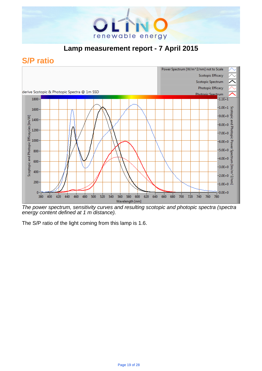

## **S/P ratio**



The power spectrum, sensitivity curves and resulting scotopic and photopic spectra (spectra energy content defined at 1 m distance).

The S/P ratio of the light coming from this lamp is 1.6.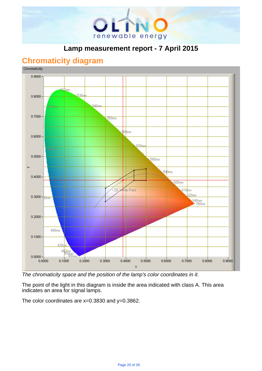

## **Chromaticity diagram**



The chromaticity space and the position of the lamp's color coordinates in it.

The point of the light in this diagram is inside the area indicated with class A. This area indicates an area for signal lamps.

The color coordinates are  $x=0.3830$  and  $y=0.3862$ .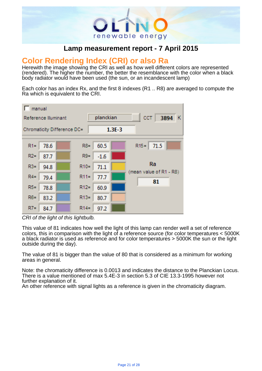

# . **Color Rendering Index (CRI) or also Ra**

Herewith the image showing the CRI as well as how well different colors are represented (rendered). The higher the number, the better the resemblance with the color when a black body radiator would have been used (the sun, or an incandescent lamp)

Each color has an index Rx, and the first 8 indexes (R1 .. R8) are averaged to compute the Ra which is equivalent to the CRI.



CRI of the light of this lightbulb.

This value of 81 indicates how well the light of this lamp can render well a set of reference colors, this in comparison with the light of a reference source (for color temperatures < 5000K a black radiator is used as reference and for color temperatures > 5000K the sun or the light outside during the day).

The value of 81 is bigger than the value of 80 that is considered as a minimum for working areas in general.

Note: the chromaticity difference is 0.0013 and indicates the distance to the Planckian Locus. There is a value mentioned of max 5.4E-3 in section 5.3 of CIE 13.3-1995 however not further explanation of it.

An other reference with signal lights as a reference is given in the chromaticity diagram.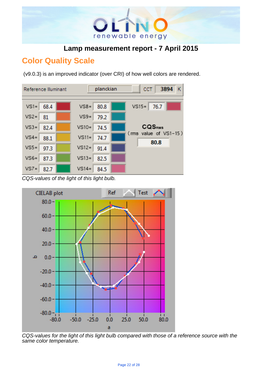

## **Color Quality Scale**

(v9.0.3) is an improved indicator (over CRI) of how well colors are rendered.



CQS-values of the light of this light bulb.



CQS-values for the light of this light bulb compared with those of a reference source with the same color temperature.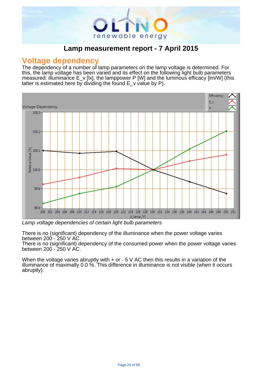

#### **Voltage dependency**

The dependency of a number of lamp parameters on the lamp voltage is determined. For this, the lamp voltage has been varied and its effect on the following light bulb parameters measured: illuminance E\_v [lx], the lamppower P [W] and the luminous efficacy [lm/W] (this latter is estimated here by dividing the found  $E_{v}$  value by P).

.



Lamp voltage dependencies of certain light bulb parameters

There is no (significant) dependency of the illuminance when the power voltage varies between 200 - 250 V AC.

There is no (significant) dependency of the consumed power when the power voltage varies between 200 - 250 V AC.

When the voltage varies abruptly with  $+$  or  $-5$  V AC then this results in a variation of the illuminance of maximally 0.0 %. This difference in illuminance is not visible (when it occurs abruptly).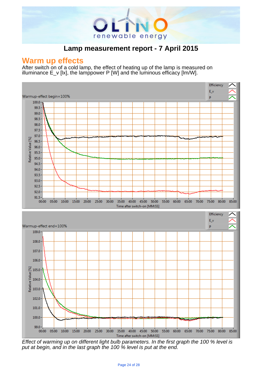

.

#### **Warm up effects**

After switch on of a cold lamp, the effect of heating up of the lamp is measured on illuminance  $E_v$  [kx], the lamppower P [W] and the luminous efficacy [lm/W].



Effect of warming up on different light bulb parameters. In the first graph the 100 % level is put at begin, and in the last graph the 100 % level is put at the end.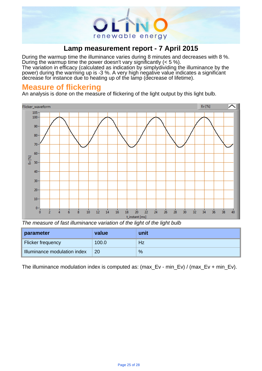

During the warmup time the illuminance varies during 8 minutes and decreases with 8 %. During the warmup time the power doesn't vary significantly (< 5 %).

The variation in efficacy (calculated as indication by simplydividing the illuminance by the power) during the warming up is -3 %. A very high negative value indicates a significant decrease for instance due to heating up of the lamp (decrease of lifetime).

## **Measure of flickering**

An analysis is done on the measure of flickering of the light output by this light bulb.



The measure of fast illuminance variation of the light of the light bulb

| parameter                    | value | unit |
|------------------------------|-------|------|
| Flicker frequency            | 100.0 | Hz   |
| Illuminance modulation index | 20    | %    |

The illuminance modulation index is computed as: (max Ev - min\_Ev) / (max Ev + min\_Ev).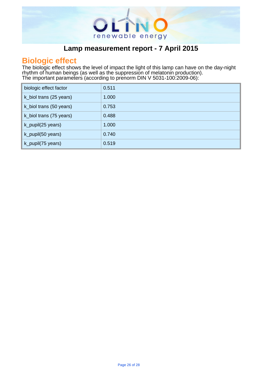

# . **Biologic effect**

The biologic effect shows the level of impact the light of this lamp can have on the day-night rhythm of human beings (as well as the suppression of melatonin production). The important parameters (according to prenorm DIN V 5031-100:2009-06): .

| biologic effect factor  | 0.511 |
|-------------------------|-------|
| k_biol trans (25 years) | 1.000 |
| k_biol trans (50 years) | 0.753 |
| k_biol trans (75 years) | 0.488 |
| k_pupil(25 years)       | 1.000 |
| k_pupil(50 years)       | 0.740 |
| k_pupil(75 years)       | 0.519 |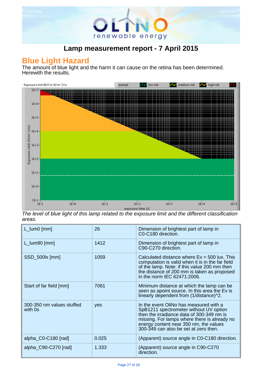

## **Blue Light Hazard**

The amount of blue light and the harm it can cause on the retina has been determined. Herewith the results.



The level of blue light of this lamp related to the exposure limit and the different classification areas.

| $L_lum0$ [mm]                        | 26    | Dimension of brightest part of lamp in<br>C0-C180 direction.                                                                                                                                                                                                     |
|--------------------------------------|-------|------------------------------------------------------------------------------------------------------------------------------------------------------------------------------------------------------------------------------------------------------------------|
| $L_lum90$ [mm]                       | 1412  | Dimension of brightest part of lamp in<br>C90-C270 direction.                                                                                                                                                                                                    |
| SSD_500lx [mm]                       | 1059  | Calculated distance where $Ev = 500$ lux. This<br>computation is valid when it is in the far field<br>of the lamp. Note: if this value 200 mm then<br>the distance of 200 mm is taken as proposed<br>in the norm IEC 62471:2006.                                 |
| Start of far field [mm]              | 7061  | Minimum distance at which the lamp can be<br>seen as apoint source. In this area the Ev is<br>linearly dependent from (1/distance)^2.                                                                                                                            |
| 300-350 nm values stuffed<br>with 0s | yes   | In the event OliNo has measured with a<br>SpB1211 spectrometer without UV option<br>then the irradiance data of 300-349 nm is<br>missing. For lamps where there is already no<br>energy content near 350 nm, the values<br>300-349 can also be set at zero then. |
| alpha_C0-C180 [rad]                  | 0.025 | (Apparent) source angle in C0-C180 direction.                                                                                                                                                                                                                    |
| alpha_C90-C270 [rad]                 | 1.333 | (Apparent) source angle in C90-C270<br>direction.                                                                                                                                                                                                                |